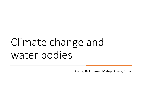### Climate change and water bodies

Alvide, Birkir Snær, Mateja, Olivia, Sofia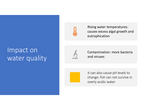# Impact on water quality



Rising water temperatures: Rising water temperatures:<br>causes excess algal growth and<br>eutrophication eutrophication Rising water temperatures:<br>causes excess algal growth and<br>eutrophication<br>Contamination: more bacteria<br>and viruses



and viruses

It can also cause pH levels to canced and the agail given and<br>eutrophication<br>and viruses<br>It can also cause pH levels to<br>change: fish can not survive in<br>overly acidic water overly acidic water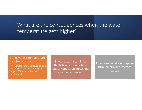## What are the consequences when the water temperature gets higher? What are the consequent temperature and temperature is temperature<br>As the water's temperature<br>rises, bacteria flourish.<br>• An increase in temperature as little<br>• An increase in temperature as little<br>as 1 degree Celsius can What are the consequences w<br>
temperature gets higher?<br>
s the water's temperature<br>
ses, bacteria flourish.<br>
An increase in temperature as little<br>
An increase in temperature as little<br>
An increase in temperature as little<br>
t

#### As the water´s temperature

huge difference in the sea´s bacterial life.

These bacteria can infect the fish we eat, which can cause various unknown and infectious diseases.

Infections could also happen through drinking infected water.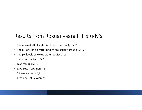#### Results from Rokuanvaara Hill study's

- The normal pH of water is close to neutral (pH = 7)
- The pH of Finnish water bodies are usually around 6.5-6.8
- The pH levels of Rokua water bodies are:
- Lake Jaakonjärvi is 5,9
- Lake Vaulujärvi 6,5
- Lake Levä-Soppinen 7,2
- Siirasoja stream 6,2
- Peat bog 3,9 (a swamp)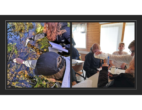